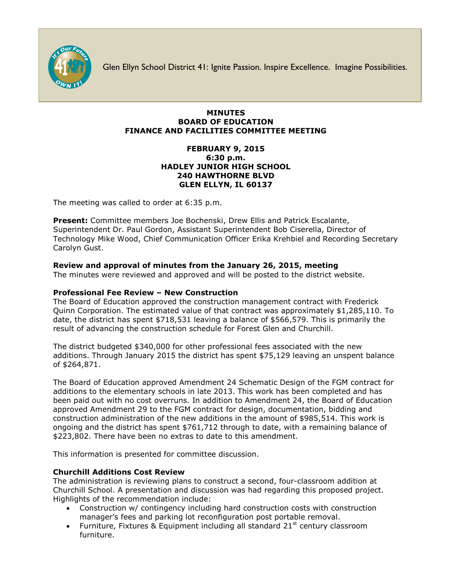

Glen Ellyn School District 41: Ignite Passion. Inspire Excellence. Imagine Possibilities.

## **MINUTES BOARD OF EDUCATION FINANCE AND FACILITIES COMMITTEE MEETING**

## **FEBRUARY 9, 2015 6:30 p.m. HADLEY JUNIOR HIGH SCHOOL 240 HAWTHORNE BLVD GLEN ELLYN, IL 60137**

The meeting was called to order at 6:35 p.m.

**Present:** Committee members Joe Bochenski, Drew Ellis and Patrick Escalante, Superintendent Dr. Paul Gordon, Assistant Superintendent Bob Ciserella, Director of Technology Mike Wood, Chief Communication Officer [Erika Krehbiel](http://www.d41.org/contact_email.asp?id=ekrehbiel&n=Erika_Krehbiel) and Recording Secretary Carolyn Gust.

# **Review and approval of minutes from the January 26, 2015, meeting**

The minutes were reviewed and approved and will be posted to the district website.

## **Professional Fee Review – New Construction**

The Board of Education approved the construction management contract with Frederick Quinn Corporation. The estimated value of that contract was approximately \$1,285,110. To date, the district has spent \$718,531 leaving a balance of \$566,579. This is primarily the result of advancing the construction schedule for Forest Glen and Churchill.

The district budgeted \$340,000 for other professional fees associated with the new additions. Through January 2015 the district has spent \$75,129 leaving an unspent balance of \$264,871.

The Board of Education approved Amendment 24 Schematic Design of the FGM contract for additions to the elementary schools in late 2013. This work has been completed and has been paid out with no cost overruns. In addition to Amendment 24, the Board of Education approved Amendment 29 to the FGM contract for design, documentation, bidding and construction administration of the new additions in the amount of \$985,514. This work is ongoing and the district has spent \$761,712 through to date, with a remaining balance of \$223,802. There have been no extras to date to this amendment.

This information is presented for committee discussion.

# **Churchill Additions Cost Review**

The administration is reviewing plans to construct a second, four-classroom addition at Churchill School. A presentation and discussion was had regarding this proposed project. Highlights of the recommendation include:

- Construction w/ contingency including hard construction costs with construction manager's fees and parking lot reconfiguration post portable removal.
- Furniture, Fixtures & Equipment including all standard  $21^{st}$  century classroom furniture.